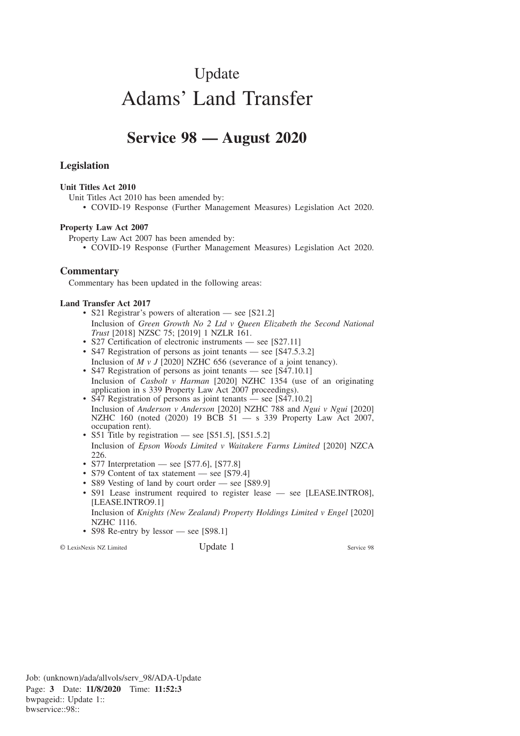# Update Adams' Land Transfer

# **Service 98 — August 2020**

## **Legislation**

#### **Unit Titles Act 2010**

Unit Titles Act 2010 has been amended by:

• COVID-19 Response (Further Management Measures) Legislation Act 2020.

#### **Property Law Act 2007**

Property Law Act 2007 has been amended by:

• COVID-19 Response (Further Management Measures) Legislation Act 2020.

### **Commentary**

Commentary has been updated in the following areas:

#### **Land Transfer Act 2017**

- S21 Registrar's powers of alteration see [S21.2] Inclusion of *Green Growth No 2 Ltd v Queen Elizabeth the Second National Trust* [2018] NZSC 75; [2019] 1 NZLR 161.
- S27 Certification of electronic instruments see [S27.11]
- S47 Registration of persons as joint tenants see [S47.5.3.2] Inclusion of *M v J* [2020] NZHC 656 (severance of a joint tenancy).
- S47 Registration of persons as joint tenants see [S47.10.1] Inclusion of *Casbolt v Harman* [2020] NZHC 1354 (use of an originating application in s 339 Property Law Act 2007 proceedings).
- S47 Registration of persons as joint tenants see [S47.10.2] Inclusion of *Anderson v Anderson* [2020] NZHC 788 and *Ngui v Ngui* [2020] NZHC 160 (noted (2020) 19 BCB 51 — s 339 Property Law Act 2007, occupation rent).
- S51 Title by registration see [S51.5], [S51.5.2] Inclusion of *Epson Woods Limited v Waitakere Farms Limited* [2020] NZCA 226.
- S77 Interpretation see [S77.6], [S77.8]
- S79 Content of tax statement see [S79.4]
- S89 Vesting of land by court order see [S89.9]
- S91 Lease instrument required to register lease see [LEASE.INTRO8], [LEASE.INTRO9.1]
	- Inclusion of *Knights (New Zealand) Property Holdings Limited v Engel* [2020] NZHC 1116.
- S98 Re-entry by lessor see [S98.1]

© LexisNexis NZ Limited Update 1 Service 98